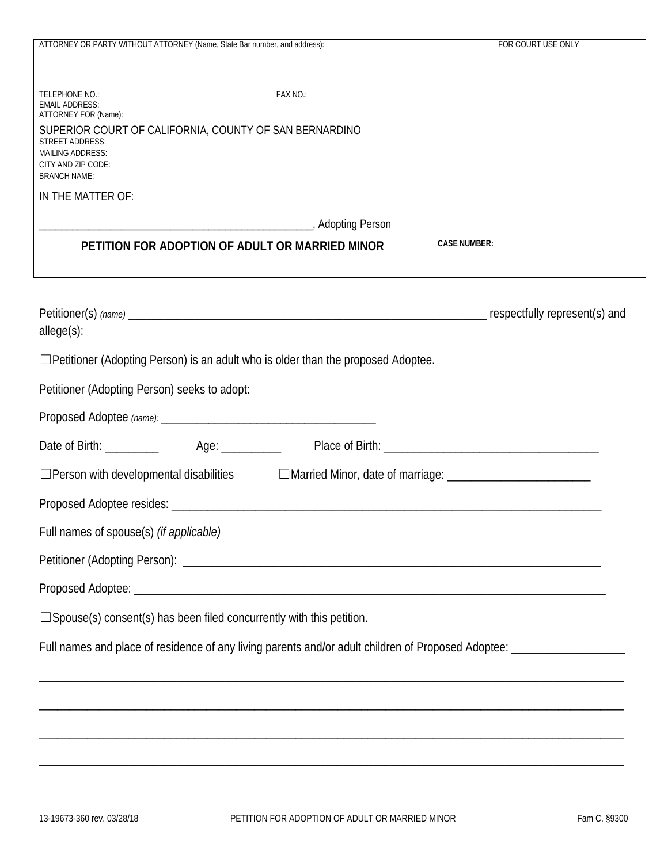| ATTORNEY OR PARTY WITHOUT ATTORNEY (Name, State Bar number, and address):                           | FOR COURT USE ONLY  |
|-----------------------------------------------------------------------------------------------------|---------------------|
|                                                                                                     |                     |
| FAX NO.:<br>TELEPHONE NO.:                                                                          |                     |
| <b>EMAIL ADDRESS:</b><br>ATTORNEY FOR (Name):                                                       |                     |
| SUPERIOR COURT OF CALIFORNIA, COUNTY OF SAN BERNARDINO<br><b>STREET ADDRESS:</b>                    |                     |
| <b>MAILING ADDRESS:</b>                                                                             |                     |
| CITY AND ZIP CODE:<br><b>BRANCH NAME:</b>                                                           |                     |
| IN THE MATTER OF:                                                                                   |                     |
|                                                                                                     |                     |
| PETITION FOR ADOPTION OF ADULT OR MARRIED MINOR                                                     | <b>CASE NUMBER:</b> |
|                                                                                                     |                     |
|                                                                                                     |                     |
|                                                                                                     |                     |
|                                                                                                     |                     |
| allege(s):                                                                                          |                     |
| $\Box$ Petitioner (Adopting Person) is an adult who is older than the proposed Adoptee.             |                     |
| Petitioner (Adopting Person) seeks to adopt:                                                        |                     |
|                                                                                                     |                     |
|                                                                                                     |                     |
| □Person with developmental disabilities □ □ Married Minor, date of marriage: ______________________ |                     |
|                                                                                                     |                     |
|                                                                                                     |                     |
| Full names of spouse(s) (if applicable)                                                             |                     |

Proposed Adoptee: \_\_\_\_\_\_\_\_\_\_\_\_\_\_\_\_\_\_\_\_\_\_\_\_\_\_\_\_\_\_\_\_\_\_\_\_\_\_\_\_\_\_\_\_\_\_\_\_\_\_\_\_\_\_\_\_\_\_\_\_\_\_\_\_\_\_\_\_\_\_\_\_\_\_\_\_\_\_\_

☐Spouse(s) consent(s) has been filed concurrently with this petition.

Full names and place of residence of any living parents and/or adult children of Proposed Adoptee: \_\_\_\_\_\_\_\_\_\_\_\_\_\_\_\_\_

\_\_\_\_\_\_\_\_\_\_\_\_\_\_\_\_\_\_\_\_\_\_\_\_\_\_\_\_\_\_\_\_\_\_\_\_\_\_\_\_\_\_\_\_\_\_\_\_\_\_\_\_\_\_\_\_\_\_\_\_\_\_\_\_\_\_\_\_\_\_\_\_\_\_\_\_\_\_\_\_\_\_\_\_\_\_\_\_\_\_\_\_\_\_\_\_\_\_

\_\_\_\_\_\_\_\_\_\_\_\_\_\_\_\_\_\_\_\_\_\_\_\_\_\_\_\_\_\_\_\_\_\_\_\_\_\_\_\_\_\_\_\_\_\_\_\_\_\_\_\_\_\_\_\_\_\_\_\_\_\_\_\_\_\_\_\_\_\_\_\_\_\_\_\_\_\_\_\_\_\_\_\_\_\_\_\_\_\_\_\_\_\_\_\_\_\_

\_\_\_\_\_\_\_\_\_\_\_\_\_\_\_\_\_\_\_\_\_\_\_\_\_\_\_\_\_\_\_\_\_\_\_\_\_\_\_\_\_\_\_\_\_\_\_\_\_\_\_\_\_\_\_\_\_\_\_\_\_\_\_\_\_\_\_\_\_\_\_\_\_\_\_\_\_\_\_\_\_\_\_\_\_\_\_\_\_\_\_\_\_\_\_\_\_\_

\_\_\_\_\_\_\_\_\_\_\_\_\_\_\_\_\_\_\_\_\_\_\_\_\_\_\_\_\_\_\_\_\_\_\_\_\_\_\_\_\_\_\_\_\_\_\_\_\_\_\_\_\_\_\_\_\_\_\_\_\_\_\_\_\_\_\_\_\_\_\_\_\_\_\_\_\_\_\_\_\_\_\_\_\_\_\_\_\_\_\_\_\_\_\_\_\_\_